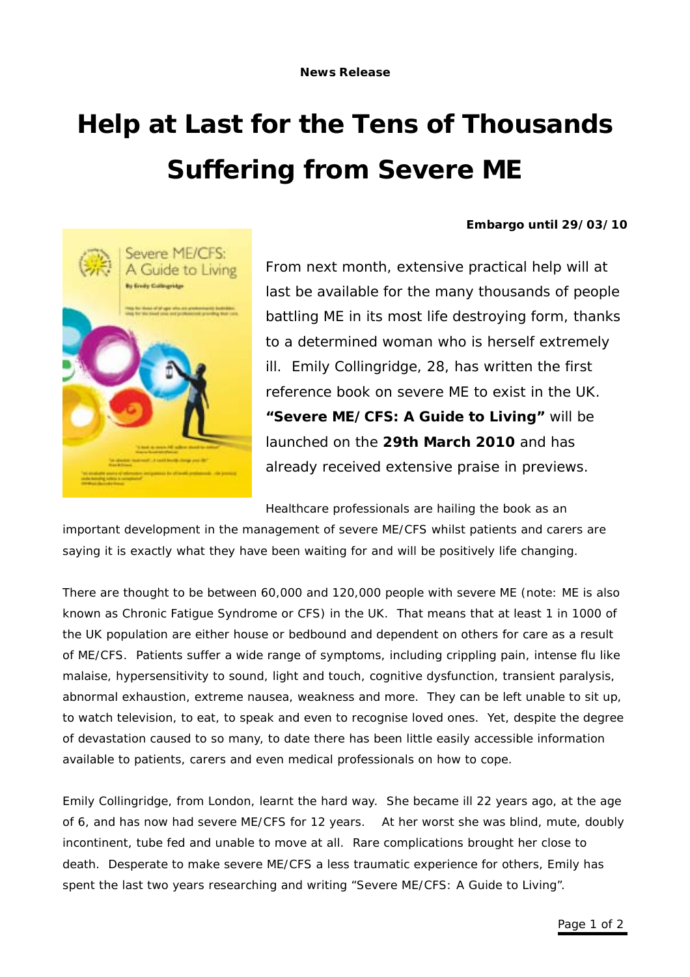## **Help at Last for the Tens of Thousands Suffering from Severe ME**





From next month, extensive practical help will at last be available for the many thousands of people battling ME in its most life destroying form, thanks to a determined woman who is herself extremely ill. Emily Collingridge, 28, has written the first reference book on severe ME to exist in the UK. **"Severe ME/CFS: A Guide to Living"** will be launched on the **29th March 2010** and has already received extensive praise in previews.

Healthcare professionals are hailing the book as an

important development in the management of severe ME/CFS whilst patients and carers are saying it is exactly what they have been waiting for and will be positively life changing.

There are thought to be between 60,000 and 120,000 people with severe ME (note: ME is also known as Chronic Fatigue Syndrome or CFS) in the UK. That means that *at least* 1 in 1000 of the UK population are either house or bedbound and dependent on others for care as a result of ME/CFS. Patients suffer a wide range of symptoms, including crippling pain, intense flu like malaise, hypersensitivity to sound, light and touch, cognitive dysfunction, transient paralysis, abnormal exhaustion, extreme nausea, weakness and more. They can be left unable to sit up, to watch television, to eat, to speak and even to recognise loved ones. Yet, despite the degree of devastation caused to so many, to date there has been little easily accessible information available to patients, carers and even medical professionals on how to cope.

Emily Collingridge, from London, learnt the hard way. She became ill 22 years ago, at the age of 6, and has now had severe ME/CFS for 12 years. At her worst she was blind, mute, doubly incontinent, tube fed and unable to move at all. Rare complications brought her close to death. Desperate to make severe ME/CFS a less traumatic experience for others, Emily has spent the last two years researching and writing "Severe ME/CFS: A Guide to Living".